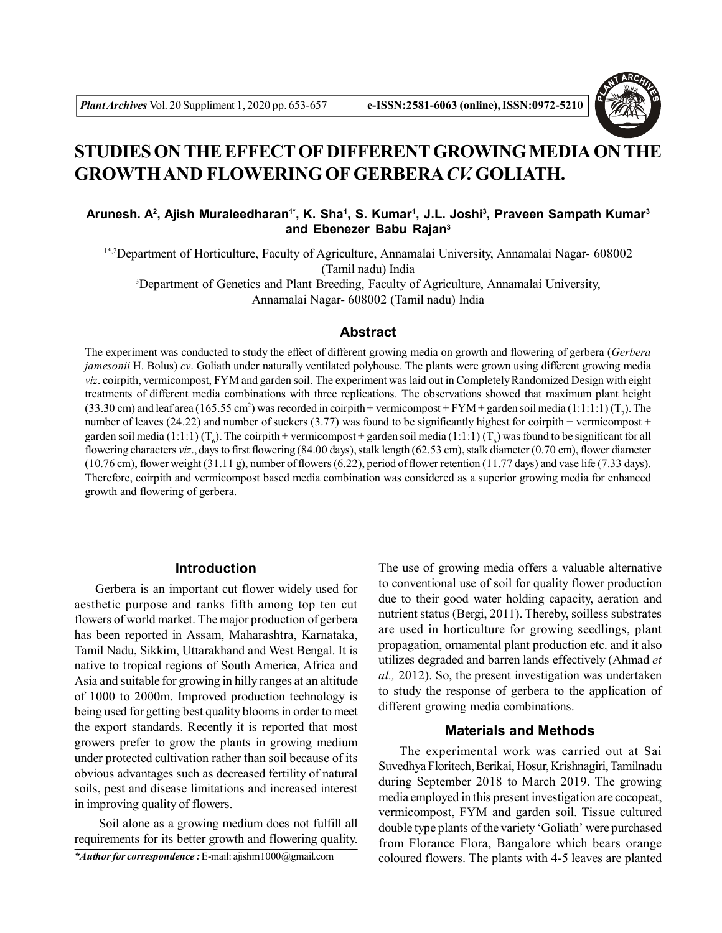

# **STUDIES ON THE EFFECT OF DIFFERENT GROWING MEDIA ON THE GROWTH AND FLOWERING OF GERBERA***CV.* **GOLIATH.**

# **Arunesh. A<sup>2</sup> , Ajish Muraleedharan1\*, K. Sha<sup>1</sup> , S. Kumar<sup>1</sup> , J.L. Joshi<sup>3</sup> , Praveen Sampath Kumar<sup>3</sup> and Ebenezer Babu Rajan<sup>3</sup>**

1\*,2Department of Horticulture, Faculty of Agriculture, Annamalai University, Annamalai Nagar- 608002 (Tamil nadu) India

<sup>3</sup>Department of Genetics and Plant Breeding, Faculty of Agriculture, Annamalai University, Annamalai Nagar- 608002 (Tamil nadu) India

## **Abstract**

The experiment was conducted to study the effect of different growing media on growth and flowering of gerbera (*Gerbera jamesonii* H. Bolus) *cv*. Goliath under naturally ventilated polyhouse. The plants were grown using different growing media *viz*. coirpith, vermicompost, FYM and garden soil. The experiment was laid out in Completely Randomized Design with eight treatments of different media combinations with three replications. The observations showed that maximum plant height (33.30 cm) and leaf area (165.55 cm<sup>2</sup>) was recorded in coirpith + vermicompost + FYM + garden soil media (1:1:1:1) (T<sub>7</sub>). The number of leaves (24.22) and number of suckers (3.77) was found to be significantly highest for coirpith + vermicompost + garden soil media (1:1:1) (T<sub>6</sub>). The coirpith + vermicompost + garden soil media (1:1:1) (T<sub>6</sub>) was found to be significant for all flowering characters *viz*., days to first flowering (84.00 days), stalk length (62.53 cm), stalk diameter (0.70 cm), flower diameter  $(10.76 \text{ cm})$ , flower weight  $(31.11 \text{ g})$ , number of flowers  $(6.22)$ , period of flower retention  $(11.77 \text{ days})$  and vase life  $(7.33 \text{ days})$ . Therefore, coirpith and vermicompost based media combination was considered as a superior growing media for enhanced growth and flowering of gerbera.

#### **Introduction**

Gerbera is an important cut flower widely used for aesthetic purpose and ranks fifth among top ten cut flowers of world market. The major production of gerbera has been reported in Assam, Maharashtra, Karnataka, Tamil Nadu, Sikkim, Uttarakhand and West Bengal. It is native to tropical regions of South America, Africa and Asia and suitable for growing in hilly ranges at an altitude of 1000 to 2000m. Improved production technology is being used for getting best quality blooms in order to meet the export standards. Recently it is reported that most growers prefer to grow the plants in growing medium under protected cultivation rather than soil because of its obvious advantages such as decreased fertility of natural soils, pest and disease limitations and increased interest in improving quality of flowers.

 Soil alone as a growing medium does not fulfill all requirements for its better growth and flowering quality.

*\*Author for correspondence :* E-mail: ajishm1000@gmail.com

The use of growing media offers a valuable alternative to conventional use of soil for quality flower production due to their good water holding capacity, aeration and nutrient status (Bergi, 2011). Thereby, soilless substrates are used in horticulture for growing seedlings, plant propagation, ornamental plant production etc. and it also utilizes degraded and barren lands effectively (Ahmad *et al.,* 2012). So, the present investigation was undertaken to study the response of gerbera to the application of different growing media combinations.

## **Materials and Methods**

The experimental work was carried out at Sai Suvedhya Floritech, Berikai, Hosur, Krishnagiri, Tamilnadu during September 2018 to March 2019. The growing media employed in this present investigation are cocopeat, vermicompost, FYM and garden soil. Tissue cultured double type plants of the variety 'Goliath' were purchased from Florance Flora, Bangalore which bears orange coloured flowers. The plants with 4-5 leaves are planted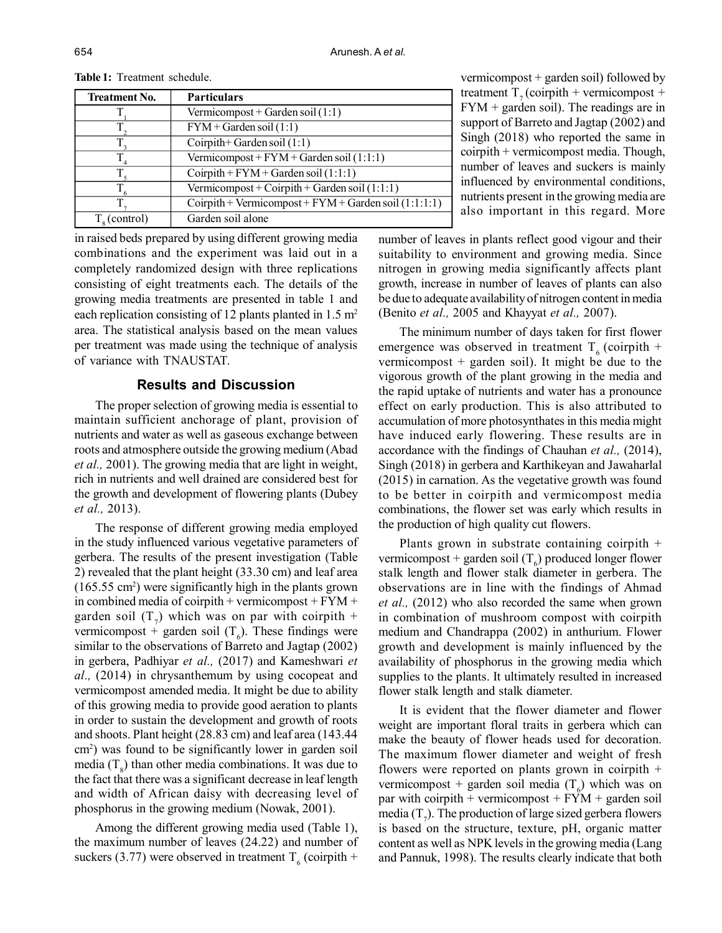| <b>Treatment No.</b>  | <b>Particulars</b>                                      |
|-----------------------|---------------------------------------------------------|
|                       | Vermicompost + Garden soil $(1:1)$                      |
|                       | $FYM + Garden soil (1:1)$                               |
|                       | Coirpith + Garden soil $(1:1)$                          |
|                       | Vermicompost + $FYM + Garden$ soil (1:1:1)              |
|                       | Coirpith + $FYM + Garden soil (1:1:1)$                  |
|                       | Vermicompost + Coirpith + Garden soil $(1:1:1)$         |
|                       | $Corprint + Vermicompost + FYM + Garden soil (1:1:1:1)$ |
| $T_{\circ}$ (control) | Garden soil alone                                       |

**Table 1:** Treatment schedule.

in raised beds prepared by using different growing media combinations and the experiment was laid out in a completely randomized design with three replications consisting of eight treatments each. The details of the growing media treatments are presented in table 1 and each replication consisting of 12 plants planted in 1.5  $m<sup>2</sup>$ area. The statistical analysis based on the mean values per treatment was made using the technique of analysis of variance with TNAUSTAT.

## **Results and Discussion**

The proper selection of growing media is essential to maintain sufficient anchorage of plant, provision of nutrients and water as well as gaseous exchange between roots and atmosphere outside the growing medium (Abad *et al.,* 2001). The growing media that are light in weight, rich in nutrients and well drained are considered best for the growth and development of flowering plants (Dubey *et al.,* 2013).

The response of different growing media employed in the study influenced various vegetative parameters of gerbera. The results of the present investigation (Table 2) revealed that the plant height (33.30 cm) and leaf area  $(165.55 \text{ cm}^2)$  were significantly high in the plants grown in combined media of coirpith + vermicompost +  $FYM +$ garden soil  $(T_7)$  which was on par with coirpith + vermicompost + garden soil  $(T_6)$ . These findings were similar to the observations of Barreto and Jagtap (2002) in gerbera, Padhiyar *et al.,* (2017) and Kameshwari *et al.,* (2014) in chrysanthemum by using cocopeat and vermicompost amended media. It might be due to ability of this growing media to provide good aeration to plants in order to sustain the development and growth of roots and shoots. Plant height (28.83 cm) and leaf area (143.44 cm<sup>2</sup> ) was found to be significantly lower in garden soil media  $(T<sub>8</sub>)$  than other media combinations. It was due to the fact that there was a significant decrease in leaf length and width of African daisy with decreasing level of phosphorus in the growing medium (Nowak, 2001).

Among the different growing media used (Table 1), the maximum number of leaves (24.22) and number of suckers (3.77) were observed in treatment  $T_6$  (coirpith +

vermicompost + garden soil) followed by treatment  $T<sub>z</sub>$  (coirpith + vermicompost + FYM + garden soil). The readings are in support of Barreto and Jagtap (2002) and Singh (2018) who reported the same in coirpith + vermicompost media. Though, number of leaves and suckers is mainly influenced by environmental conditions, nutrients present in the growing media are also important in this regard. More

number of leaves in plants reflect good vigour and their suitability to environment and growing media. Since nitrogen in growing media significantly affects plant growth, increase in number of leaves of plants can also be due to adequate availability of nitrogen content in media (Benito *et al.,* 2005 and Khayyat *et al.,* 2007).

The minimum number of days taken for first flower emergence was observed in treatment  $T<sub>6</sub>$  (coirpith + vermicompost + garden soil). It might be due to the vigorous growth of the plant growing in the media and the rapid uptake of nutrients and water has a pronounce effect on early production. This is also attributed to accumulation of more photosynthates in this media might have induced early flowering. These results are in accordance with the findings of Chauhan *et al.,* (2014), Singh (2018) in gerbera and Karthikeyan and Jawaharlal (2015) in carnation. As the vegetative growth was found to be better in coirpith and vermicompost media combinations, the flower set was early which results in the production of high quality cut flowers.

Plants grown in substrate containing coirpith + vermicompost + garden soil ( $T<sub>6</sub>$ ) produced longer flower stalk length and flower stalk diameter in gerbera. The observations are in line with the findings of Ahmad *et al.,* (2012) who also recorded the same when grown in combination of mushroom compost with coirpith medium and Chandrappa (2002) in anthurium. Flower growth and development is mainly influenced by the availability of phosphorus in the growing media which supplies to the plants. It ultimately resulted in increased flower stalk length and stalk diameter.

It is evident that the flower diameter and flower weight are important floral traits in gerbera which can make the beauty of flower heads used for decoration. The maximum flower diameter and weight of fresh flowers were reported on plants grown in coirpith  $+$ vermicompost + garden soil media  $(T_6)$  which was on par with coirpith + vermicompost +  $FYM$  + garden soil media ( $T_7$ ). The production of large sized gerbera flowers is based on the structure, texture, pH, organic matter content as well as NPK levels in the growing media (Lang and Pannuk, 1998). The results clearly indicate that both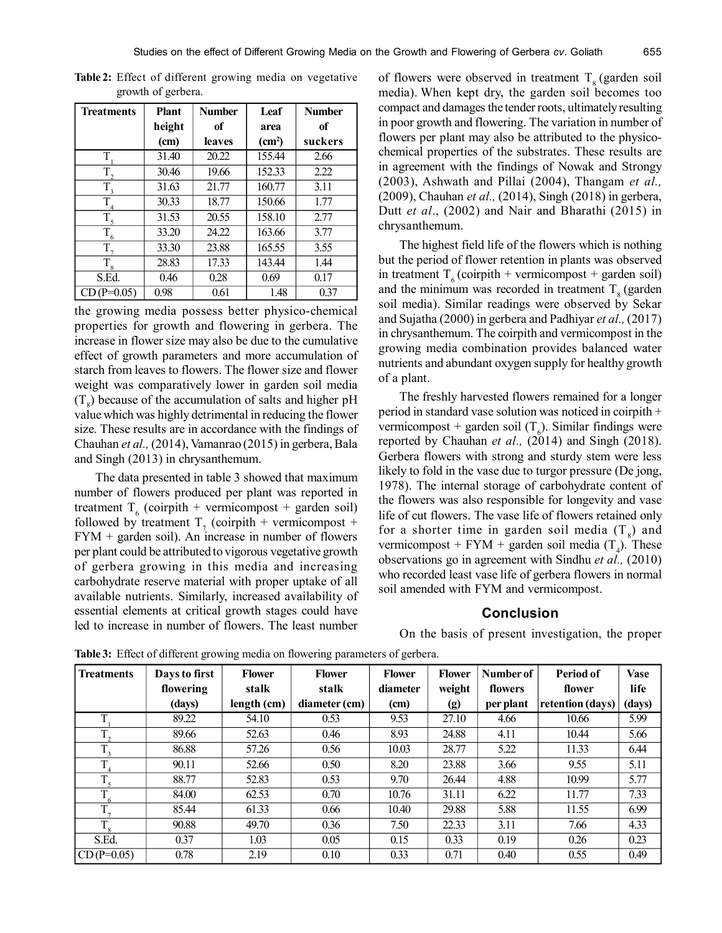| <b>Treatments</b> | <b>Plant</b> | <b>Number</b> | Leaf               | <b>Number</b> |
|-------------------|--------------|---------------|--------------------|---------------|
|                   | height       | of            | area               | of            |
|                   | (cm)         | leaves        | (cm <sup>2</sup> ) | suckers       |
| T                 | 31.40        | 20.22         | 155.44             | 2.66          |
| $\overline{T}_2$  | 30.46        | 19.66         | 152.33             | 2.22          |
| $\overline{T}_3$  | 31.63        | 21.77         | 160.77             | 3.11          |
| T                 | 30.33        | 18.77         | 150.66             | 1.77          |
| T                 | 31.53        | 20.55         | 158.10             | 2.77          |
| T<br>6            | 33.20        | 24.22         | 163.66             | 3.77          |
| T.                | 33.30        | 23.88         | 165.55             | 3.55          |
| $T_{\rm 8}$       | 28.83        | 17.33         | 143.44             | 1.44          |
| S.Ed.             | 0.46         | 0.28          | 0.69               | 0.17          |
| $CD(P=0.05)$      | 0.98         | 0.61          | 1.48               | 0.37          |

**Table 2:** Effect of different growing media on vegetative growth of gerbera.

the growing media possess better physico-chemical properties for growth and flowering in gerbera. The increase in flower size may also be due to the cumulative effect of growth parameters and more accumulation of starch from leaves to flowers. The flower size and flower weight was comparatively lower in garden soil media  $(T<sub>8</sub>)$  because of the accumulation of salts and higher pH value which was highly detrimental in reducing the flower size. These results are in accordance with the findings of Chauhan *et al.,* (2014), Vamanrao (2015) in gerbera, Bala and Singh (2013) in chrysanthemum.

The data presented in table 3 showed that maximum number of flowers produced per plant was reported in treatment  $T_6$  (coirpith + vermicompost + garden soil) followed by treatment  $T_7$  (coirpith + vermicompost + FYM + garden soil). An increase in number of flowers per plant could be attributed to vigorous vegetative growth of gerbera growing in this media and increasing carbohydrate reserve material with proper uptake of all available nutrients. Similarly, increased availability of essential elements at critical growth stages could have led to increase in number of flowers. The least number

of flowers were observed in treatment  $T<sub>8</sub>$  (garden soil media). When kept dry, the garden soil becomes too compact and damages the tender roots, ultimately resulting in poor growth and flowering. The variation in number of flowers per plant may also be attributed to the physicochemical properties of the substrates. These results are in agreement with the findings of Nowak and Strongy (2003), Ashwath and Pillai (2004), Thangam *et al.,* (2009), Chauhan *et al.,* (2014), Singh (2018) in gerbera, Dutt *et al*., (2002) and Nair and Bharathi (2015) in chrysanthemum.

The highest field life of the flowers which is nothing but the period of flower retention in plants was observed in treatment  $T_6$  (coirpith + vermicompost + garden soil) and the minimum was recorded in treatment  $T<sub>8</sub>$  (garden soil media). Similar readings were observed by Sekar and Sujatha (2000) in gerbera and Padhiyar *et al.,* (2017) in chrysanthemum. The coirpith and vermicompost in the growing media combination provides balanced water nutrients and abundant oxygen supply for healthy growth of a plant.

The freshly harvested flowers remained for a longer period in standard vase solution was noticed in coirpith + vermicompost + garden soil  $(T_6)$ . Similar findings were reported by Chauhan *et al.,* (2014) and Singh (2018). Gerbera flowers with strong and sturdy stem were less likely to fold in the vase due to turgor pressure (De jong, 1978). The internal storage of carbohydrate content of the flowers was also responsible for longevity and vase life of cut flowers. The vase life of flowers retained only for a shorter time in garden soil media  $(T<sub>8</sub>)$  and vermicompost + FYM + garden soil media  $(T_4)$ . These observations go in agreement with Sindhu *et al.,* (2010) who recorded least vase life of gerbera flowers in normal soil amended with FYM and vermicompost.

#### **Conclusion**

On the basis of present investigation, the proper

**Treatments Days to first Flower Flower Flower Flower Number of Period of Vase flowering stalk stalk diameter weight flowers flower life (days) length (cm) diameter (cm) (cm) (g) per plant retention (days) (days) T** 89.22 | 54.10 | 0.53 | 9.53 | 27.10 | 4.66 | 10.66 | 5.99 T. 89.66 | 52.63 | 0.46 | 8.93 | 24.88 | 4.11 | 10.44 | 5.66  $\mathbf T$ 86.88 | 57.26 | 0.56 | 10.03 | 28.77 | 5.22 | 11.33 | 6.44  $\overline{T}$ 90.11 | 52.66 | 0.50 | 8.20 | 23.88 | 3.66 | 9.55 | 5.11  $\overline{T}$ 88.77 | 52.83 | 0.53 | 9.70 | 26.44 | 4.88 | 10.99 | 5.77  $T_{6}$ 84.00 | 62.53 | 0.70 | 10.76 | 31.11 | 6.22 | 11.77 | 7.33  $T_{7}$ 85.44 | 61.33 | 0.66 | 10.40 | 29.88 | 5.88 | 11.55 | 6.99  $T_{\rm s}$ 90.88 | 49.70 | 0.36 | 7.50 | 22.33 | 3.11 | 7.66 | 4.33 S.Ed. | 0.37 | 1.03 | 0.05 | 0.15 | 0.33 | 0.19 | 0.26 | 0.23  $CD (P=0.05)$  0.78 2.19 0.10 0.33 0.71 0.40 0.55 0.49

**Table 3:** Effect of different growing media on flowering parameters of gerbera.